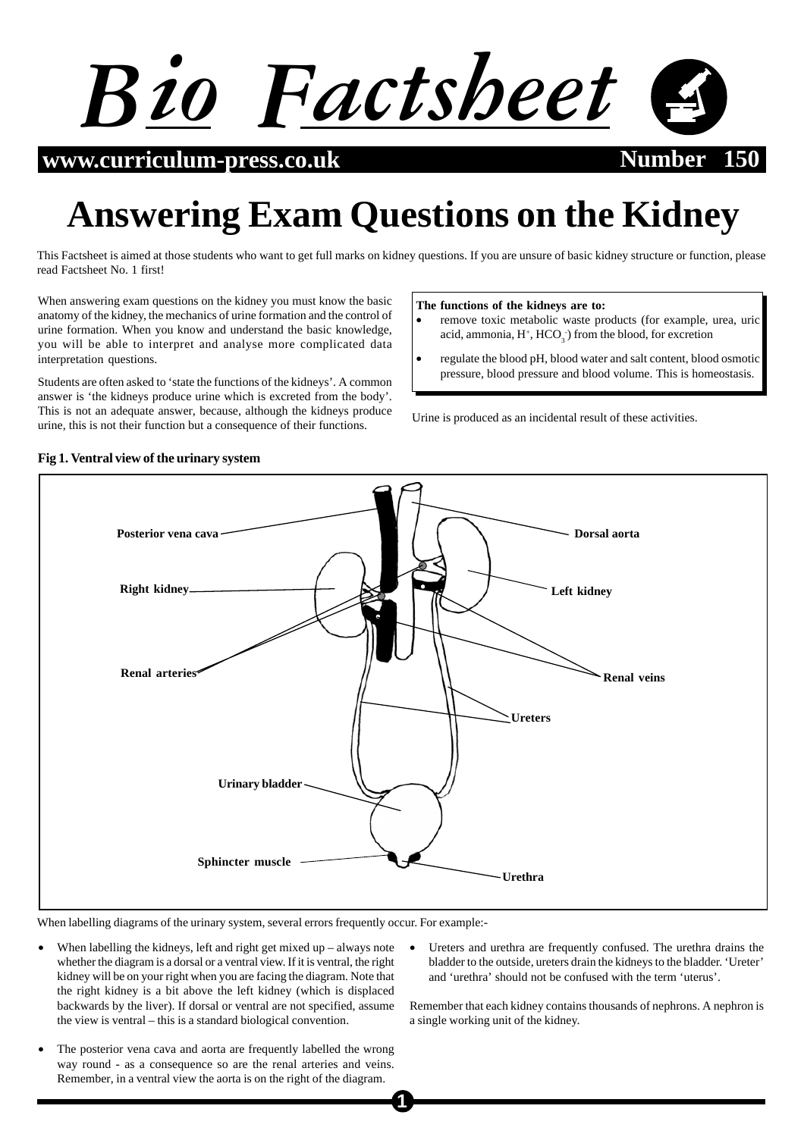

**www.curriculum-press.co.uk Number 150**

# **Answering Exam Questions on the Kidney**

This Factsheet is aimed at those students who want to get full marks on kidney questions. If you are unsure of basic kidney structure or function, please read Factsheet No. 1 first!

When answering exam questions on the kidney you must know the basic anatomy of the kidney, the mechanics of urine formation and the control of urine formation. When you know and understand the basic knowledge, you will be able to interpret and analyse more complicated data interpretation questions.

Students are often asked to 'state the functions of the kidneys'. A common answer is 'the kidneys produce urine which is excreted from the body'. This is not an adequate answer, because, although the kidneys produce urine, this is not their function but a consequence of their functions.

#### **The functions of the kidneys are to:**

- remove toxic metabolic waste products (for example, urea, uric acid, ammonia,  $H^+$ ,  $HCO_3^-$ ) from the blood, for excretion
- regulate the blood pH, blood water and salt content, blood osmotic pressure, blood pressure and blood volume. This is homeostasis.

Urine is produced as an incidental result of these activities.



# When labelling diagrams of the urinary system, several errors frequently occur. For example:-

- When labelling the kidneys, left and right get mixed up always note whether the diagram is a dorsal or a ventral view. If it is ventral, the right kidney will be on your right when you are facing the diagram. Note that the right kidney is a bit above the left kidney (which is displaced backwards by the liver). If dorsal or ventral are not specified, assume the view is ventral – this is a standard biological convention.
- The posterior vena cava and aorta are frequently labelled the wrong way round - as a consequence so are the renal arteries and veins. Remember, in a ventral view the aorta is on the right of the diagram.
- Ureters and urethra are frequently confused. The urethra drains the bladder to the outside, ureters drain the kidneys to the bladder. 'Ureter' and 'urethra' should not be confused with the term 'uterus'.

Remember that each kidney contains thousands of nephrons. A nephron is a single working unit of the kidney.

#### **Fig 1. Ventral view of the urinary system**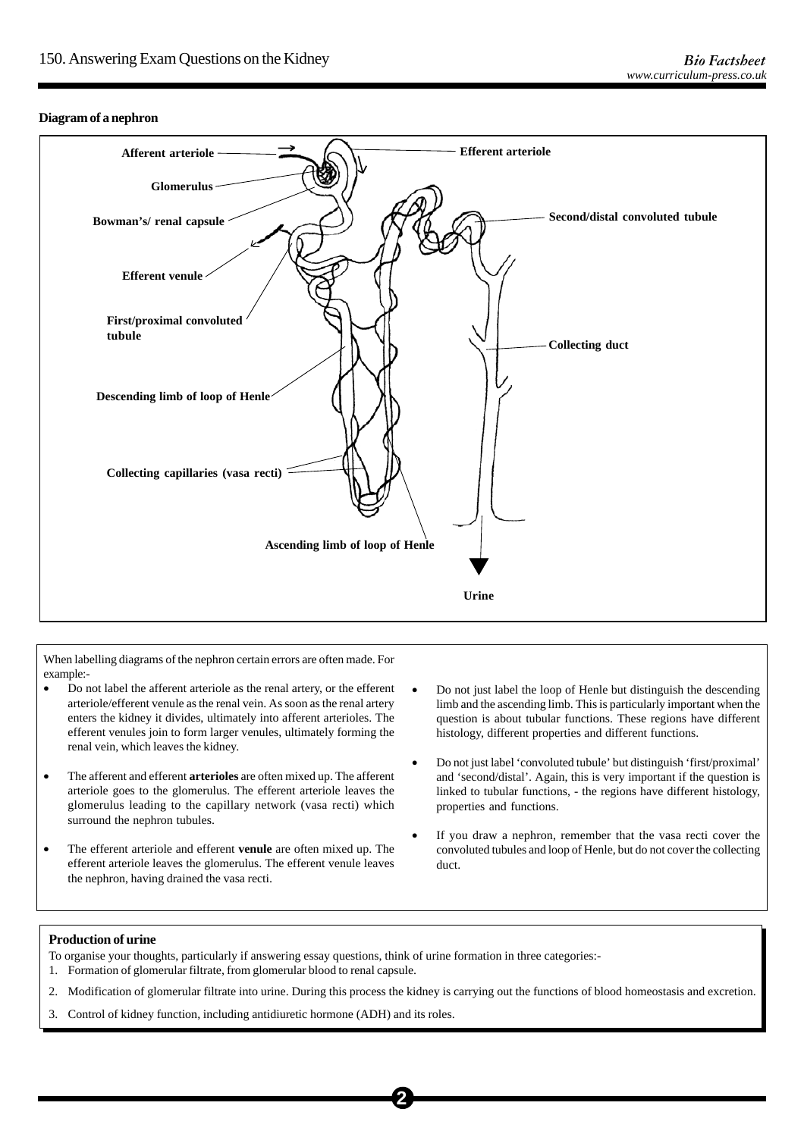## **Diagram of a nephron**



When labelling diagrams of the nephron certain errors are often made. For example:-

- Do not label the afferent arteriole as the renal artery, or the efferent arteriole/efferent venule as the renal vein. As soon as the renal artery enters the kidney it divides, ultimately into afferent arterioles. The efferent venules join to form larger venules, ultimately forming the renal vein, which leaves the kidney.
- The afferent and efferent **arterioles** are often mixed up. The afferent arteriole goes to the glomerulus. The efferent arteriole leaves the glomerulus leading to the capillary network (vasa recti) which surround the nephron tubules.
- The efferent arteriole and efferent **venule** are often mixed up. The efferent arteriole leaves the glomerulus. The efferent venule leaves the nephron, having drained the vasa recti.
- Do not just label the loop of Henle but distinguish the descending limb and the ascending limb. This is particularly important when the question is about tubular functions. These regions have different histology, different properties and different functions.
- Do not just label 'convoluted tubule' but distinguish 'first/proximal' and 'second/distal'. Again, this is very important if the question is linked to tubular functions, - the regions have different histology, properties and functions.
- If you draw a nephron, remember that the vasa recti cover the convoluted tubules and loop of Henle, but do not cover the collecting duct.

#### **Production of urine**

To organise your thoughts, particularly if answering essay questions, think of urine formation in three categories:- 1. Formation of glomerular filtrate, from glomerular blood to renal capsule.

2. Modification of glomerular filtrate into urine. During this process the kidney is carrying out the functions of blood homeostasis and excretion.

**2**

3. Control of kidney function, including antidiuretic hormone (ADH) and its roles.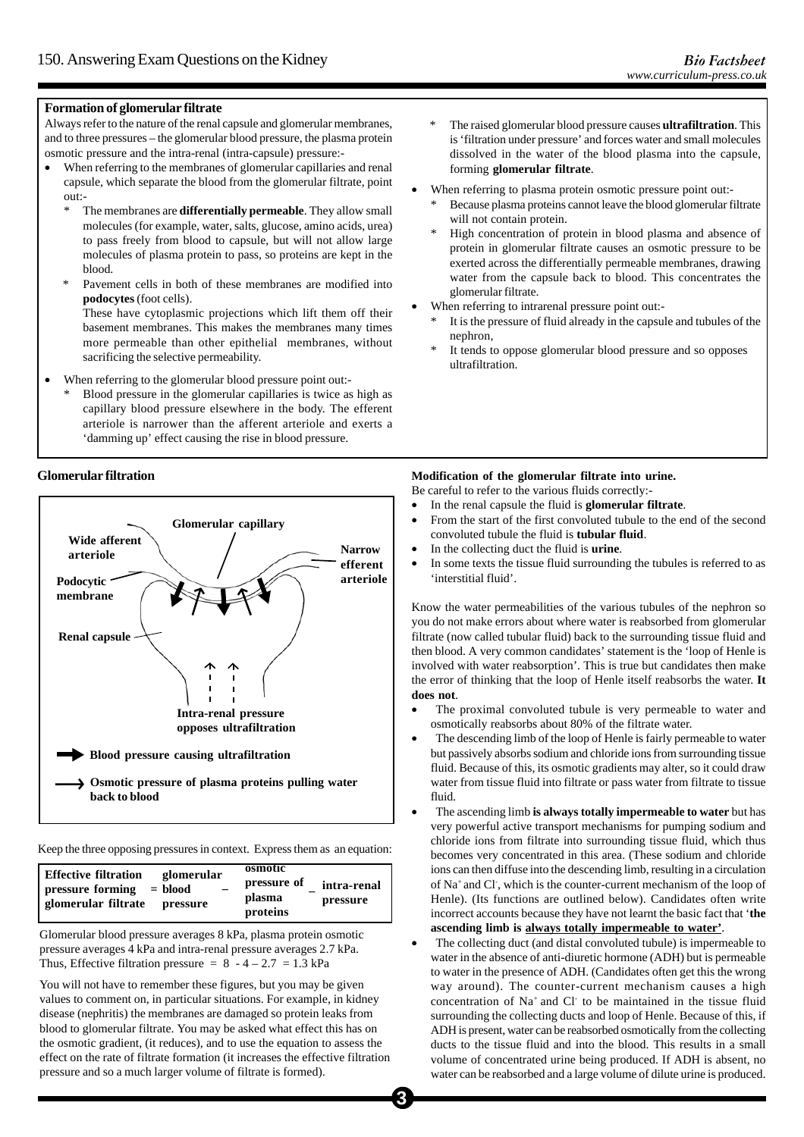#### **Formation of glomerular filtrate**

Always refer to the nature of the renal capsule and glomerular membranes, and to three pressures – the glomerular blood pressure, the plasma protein osmotic pressure and the intra-renal (intra-capsule) pressure:-

- When referring to the membranes of glomerular capillaries and renal capsule, which separate the blood from the glomerular filtrate, point out:-
	- \* The membranes are **differentially permeable**. They allow small molecules (for example, water, salts, glucose, amino acids, urea) to pass freely from blood to capsule, but will not allow large molecules of plasma protein to pass, so proteins are kept in the blood.
	- \* Pavement cells in both of these membranes are modified into **podocytes** (foot cells).

These have cytoplasmic projections which lift them off their basement membranes. This makes the membranes many times more permeable than other epithelial membranes, without sacrificing the selective permeability.

- When referring to the glomerular blood pressure point out:-
	- \* Blood pressure in the glomerular capillaries is twice as high as capillary blood pressure elsewhere in the body. The efferent arteriole is narrower than the afferent arteriole and exerts a 'damming up' effect causing the rise in blood pressure.

#### **Glomerular filtration**



Keep the three opposing pressures in context. Express them as an equation:

| <b>Effective filtration</b><br>glomerular                        | osmotic                           |                         |
|------------------------------------------------------------------|-----------------------------------|-------------------------|
| pressure forming<br>$=$ blood<br>glomerular filtrate<br>pressure | pressure of<br>plasma<br>proteins | intra-renal<br>pressure |

Glomerular blood pressure averages 8 kPa, plasma protein osmotic pressure averages 4 kPa and intra-renal pressure averages 2.7 kPa. Thus, Effective filtration pressure =  $8 - 4 - 2.7 = 1.3$  kPa

You will not have to remember these figures, but you may be given values to comment on, in particular situations. For example, in kidney disease (nephritis) the membranes are damaged so protein leaks from blood to glomerular filtrate. You may be asked what effect this has on the osmotic gradient, (it reduces), and to use the equation to assess the effect on the rate of filtrate formation (it increases the effective filtration pressure and so a much larger volume of filtrate is formed).

- \* The raised glomerular blood pressure causes **ultrafiltration**. This is 'filtration under pressure' and forces water and small molecules dissolved in the water of the blood plasma into the capsule, forming **glomerular filtrate**.
- When referring to plasma protein osmotic pressure point out:-
	- Because plasma proteins cannot leave the blood glomerular filtrate will not contain protein.
	- High concentration of protein in blood plasma and absence of protein in glomerular filtrate causes an osmotic pressure to be exerted across the differentially permeable membranes, drawing water from the capsule back to blood. This concentrates the glomerular filtrate.
- When referring to intrarenal pressure point out:-
	- It is the pressure of fluid already in the capsule and tubules of the nephron,
	- It tends to oppose glomerular blood pressure and so opposes ultrafiltration.

#### **Modification of the glomerular filtrate into urine.**

Be careful to refer to the various fluids correctly:-

- In the renal capsule the fluid is **glomerular filtrate**.
- From the start of the first convoluted tubule to the end of the second convoluted tubule the fluid is **tubular fluid**.
- In the collecting duct the fluid is **urine**.
- In some texts the tissue fluid surrounding the tubules is referred to as 'interstitial fluid'.

Know the water permeabilities of the various tubules of the nephron so you do not make errors about where water is reabsorbed from glomerular filtrate (now called tubular fluid) back to the surrounding tissue fluid and then blood. A very common candidates' statement is the 'loop of Henle is involved with water reabsorption'. This is true but candidates then make the error of thinking that the loop of Henle itself reabsorbs the water. **It does not**.

- The proximal convoluted tubule is very permeable to water and osmotically reabsorbs about 80% of the filtrate water.
- The descending limb of the loop of Henle is fairly permeable to water but passively absorbs sodium and chloride ions from surrounding tissue fluid. Because of this, its osmotic gradients may alter, so it could draw water from tissue fluid into filtrate or pass water from filtrate to tissue fluid.
- The ascending limb **is always totally impermeable to water** but has very powerful active transport mechanisms for pumping sodium and chloride ions from filtrate into surrounding tissue fluid, which thus becomes very concentrated in this area. (These sodium and chloride ions can then diffuse into the descending limb, resulting in a circulation of Na+ and Cl- , which is the counter-current mechanism of the loop of Henle). (Its functions are outlined below). Candidates often write incorrect accounts because they have not learnt the basic fact that '**the ascending limb is always totally impermeable to water'**.
- The collecting duct (and distal convoluted tubule) is impermeable to water in the absence of anti-diuretic hormone (ADH) but is permeable to water in the presence of ADH. (Candidates often get this the wrong way around). The counter-current mechanism causes a high concentration of Na+ and Cl- to be maintained in the tissue fluid surrounding the collecting ducts and loop of Henle. Because of this, if ADH is present, water can be reabsorbed osmotically from the collecting ducts to the tissue fluid and into the blood. This results in a small volume of concentrated urine being produced. If ADH is absent, no water can be reabsorbed and a large volume of dilute urine is produced.